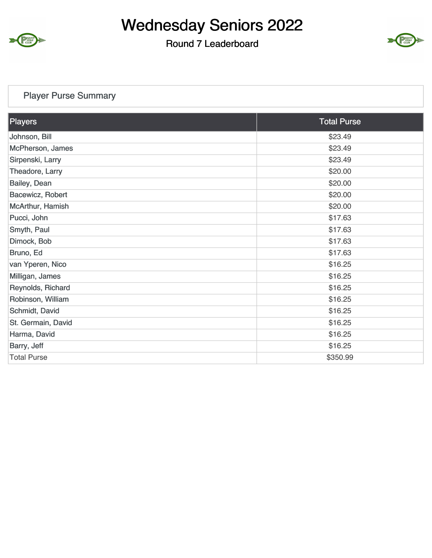

#### Round 7 Leaderboard



### Player Purse Summary

| <b>Players</b>     | <b>Total Purse</b> |
|--------------------|--------------------|
| Johnson, Bill      | \$23.49            |
| McPherson, James   | \$23.49            |
| Sirpenski, Larry   | \$23.49            |
| Theadore, Larry    | \$20.00            |
| Bailey, Dean       | \$20.00            |
| Bacewicz, Robert   | \$20.00            |
| McArthur, Hamish   | \$20.00            |
| Pucci, John        | \$17.63            |
| Smyth, Paul        | \$17.63            |
| Dimock, Bob        | \$17.63            |
| Bruno, Ed          | \$17.63            |
| van Yperen, Nico   | \$16.25            |
| Milligan, James    | \$16.25            |
| Reynolds, Richard  | \$16.25            |
| Robinson, William  | \$16.25            |
| Schmidt, David     | \$16.25            |
| St. Germain, David | \$16.25            |
| Harma, David       | \$16.25            |
| Barry, Jeff        | \$16.25            |
| <b>Total Purse</b> | \$350.99           |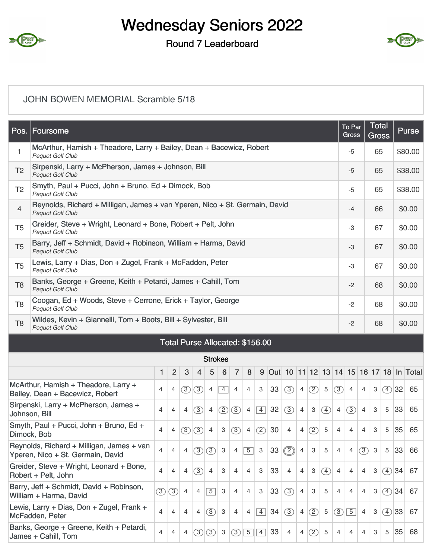

#### Round 7 Leaderboard



#### JOHN BOWEN MEMORIAL Scramble 5/18

| Pos.                                                                                                                                                                                                                   | Foursome<br>McArthur, Hamish + Theadore, Larry + Bailey, Dean + Bacewicz, Robert                       |                |                |               |                |                |                |                |                |                 |    |                |                |                |                   | To Par<br><b>Gross</b> |                | Total<br><b>Gross</b> |              |       | <b>Purse</b> |                                           |  |
|------------------------------------------------------------------------------------------------------------------------------------------------------------------------------------------------------------------------|--------------------------------------------------------------------------------------------------------|----------------|----------------|---------------|----------------|----------------|----------------|----------------|----------------|-----------------|----|----------------|----------------|----------------|-------------------|------------------------|----------------|-----------------------|--------------|-------|--------------|-------------------------------------------|--|
| 1                                                                                                                                                                                                                      | <b>Pequot Golf Club</b>                                                                                |                |                |               |                |                |                |                |                |                 |    |                |                |                |                   |                        | $-5$           |                       | 65           |       |              | \$80.00                                   |  |
| T <sub>2</sub>                                                                                                                                                                                                         | Sirpenski, Larry + McPherson, James + Johnson, Bill<br><b>Pequot Golf Club</b>                         |                |                |               |                |                |                |                |                |                 |    |                |                |                |                   |                        | $-5$           |                       | 65           |       | \$38.00      |                                           |  |
| T <sub>2</sub>                                                                                                                                                                                                         | Smyth, Paul + Pucci, John + Bruno, Ed + Dimock, Bob<br>Pequot Golf Club                                |                |                |               |                |                |                |                |                |                 |    |                |                |                |                   |                        | $-5$           |                       | 65           |       | \$38.00      |                                           |  |
| $\overline{4}$                                                                                                                                                                                                         | Reynolds, Richard + Milligan, James + van Yperen, Nico + St. Germain, David<br><b>Pequot Golf Club</b> |                |                |               |                |                |                |                |                |                 |    |                |                |                |                   |                        | -4             |                       | 66           |       | \$0.00       |                                           |  |
| T <sub>5</sub>                                                                                                                                                                                                         | Greider, Steve + Wright, Leonard + Bone, Robert + Pelt, John<br><b>Pequot Golf Club</b>                |                |                |               |                |                |                |                |                |                 |    |                |                |                |                   |                        | -3             |                       | 67           |       | \$0.00       |                                           |  |
| T <sub>5</sub>                                                                                                                                                                                                         | Barry, Jeff + Schmidt, David + Robinson, William + Harma, David<br>Pequot Golf Club                    |                |                |               |                |                |                |                |                |                 |    |                |                |                |                   |                        | $-3$           |                       | 67           |       |              | \$0.00                                    |  |
| T <sub>5</sub>                                                                                                                                                                                                         | Lewis, Larry + Dias, Don + Zugel, Frank + McFadden, Peter<br>Pequot Golf Club                          |                |                |               |                |                |                |                |                |                 |    |                |                |                |                   |                        | -3             |                       | 67           |       | \$0.00       |                                           |  |
| T <sub>8</sub>                                                                                                                                                                                                         | Banks, George + Greene, Keith + Petardi, James + Cahill, Tom<br><b>Pequot Golf Club</b>                |                |                |               |                |                |                |                |                |                 |    |                |                |                |                   |                        | $-2$           |                       | 68           |       | \$0.00       |                                           |  |
| T <sub>8</sub>                                                                                                                                                                                                         | Coogan, Ed + Woods, Steve + Cerrone, Erick + Taylor, George<br><b>Pequot Golf Club</b>                 |                |                |               |                |                |                |                |                |                 |    |                |                |                |                   |                        | $-2$           |                       | 68           |       |              | \$0.00                                    |  |
| T <sub>8</sub>                                                                                                                                                                                                         | Wildes, Kevin + Giannelli, Tom + Boots, Bill + Sylvester, Bill<br><b>Pequot Golf Club</b>              |                |                |               |                |                |                |                |                |                 |    |                |                |                |                   |                        | $-2$           |                       | 68           |       |              | \$0.00                                    |  |
|                                                                                                                                                                                                                        | Total Purse Allocated: \$156.00                                                                        |                |                |               |                |                |                |                |                |                 |    |                |                |                |                   |                        |                |                       |              |       |              |                                           |  |
| <b>Strokes</b>                                                                                                                                                                                                         |                                                                                                        |                |                |               |                |                |                |                |                |                 |    |                |                |                |                   |                        |                |                       |              |       |              |                                           |  |
|                                                                                                                                                                                                                        |                                                                                                        | 1              | $\overline{2}$ | 3             | 4              | 5              | 6              | $\overline{7}$ | 8              |                 |    |                |                |                |                   |                        |                |                       |              |       |              | 9 Out 10 11 12 13 14 15 16 17 18 In Total |  |
|                                                                                                                                                                                                                        | McArthur, Hamish + Theadore, Larry +<br>Bailey, Dean + Bacewicz, Robert                                | $\overline{4}$ | 4              | $\circledS$   | (3)            | $\overline{4}$ | $\overline{4}$ | 4              | 4              | 3               | 33 | (3)            | $\overline{4}$ | ②              | $\overline{5}$    | (3)                    | $\overline{4}$ | $\overline{4}$        | 3            | (4)32 |              | 65                                        |  |
|                                                                                                                                                                                                                        | Sirpenski, Larry + McPherson, James +<br>Johnson, Bill                                                 | $\overline{4}$ | 4              | 4             | $\circled{3}$  | $\overline{4}$ | $\circled{2}$  | $\circled{3}$  | $\overline{4}$ | $\vert 4 \vert$ | 32 | $\circled{3}$  | $\overline{4}$ | $\mathbf{3}$   | $\circled{4}$     | $\overline{4}$         | $\circled{3}$  | $\overline{4}$        | 3            | 5     | 33           | 65                                        |  |
|                                                                                                                                                                                                                        | Smyth, Paul + Pucci, John + Bruno, Ed +<br>Dimock, Bob                                                 | 4              | 4              | $\circled{3}$ | $\circled{3}$  | 4              | 3              | $\circled{3}$  | 4              | $\circled{2}$   | 30 | $\overline{4}$ | $\overline{4}$ | $\circled{2}$  | 5                 | 4                      | 4              | 4                     | 3            | 5     | 35           | 65                                        |  |
|                                                                                                                                                                                                                        | Reynolds, Richard + Milligan, James + van<br>Yperen, Nico + St. Germain, David                         | $\overline{4}$ | $\overline{4}$ | 4             | $\circled{3}$  | (3)            | $\mathbf{3}$   | 4              | $\overline{5}$ | 3               | 33 | $\circled{2}$  | $\overline{4}$ | 3              | 5                 | 4                      | $\overline{4}$ | (3)                   | $\mathbf{3}$ | 5     | 33           | 66                                        |  |
|                                                                                                                                                                                                                        | Greider, Steve + Wright, Leonard + Bone,<br>Robert + Pelt, John                                        | 4              | 4              | 4             | (3)            | $\overline{4}$ | 3              | $\overline{4}$ | $\overline{4}$ | 3               | 33 | $\overline{4}$ | $\overline{4}$ | 3              | $\left( 4\right)$ | 4                      | $\overline{4}$ | 4                     | 3            | (4)34 |              | 67                                        |  |
| Barry, Jeff + Schmidt, David + Robinson,<br>$\circled{3}$<br>33<br>(3)<br>$\sqrt{5}$<br>3<br>(3)<br>$\overline{4}$<br>4<br>$\overline{4}$<br>$\overline{4}$<br>3<br>$\overline{4}$<br>3<br>5<br>William + Harma, David |                                                                                                        |                |                |               |                |                |                |                |                |                 |    | 4              | $\overline{4}$ | $\overline{4}$ | 3                 | (4)34                  |                | 67                    |              |       |              |                                           |  |
|                                                                                                                                                                                                                        | Lewis, Larry + Dias, Don + Zugel, Frank +<br>McFadden, Peter                                           | $\overline{4}$ | 4              | 4             | $\overline{4}$ | (3)            | 3              | 4              | 4              | $\vert 4 \vert$ | 34 | (3)            | $\overline{4}$ | $\circled{2}$  | $\sqrt{5}$        | (3)                    | $\overline{5}$ | $\overline{4}$        | 3            | (4)33 |              | 67                                        |  |
|                                                                                                                                                                                                                        | Banks, George + Greene, Keith + Petardi,<br>James + Cahill, Tom                                        | 4              | 4              | 4             | $\circled{3}$  | $\circled{3}$  | 3              | $\circled{3}$  | $\boxed{5}$    | $\sqrt{4}$      | 33 | 4              | $\overline{4}$ | $\circled{2}$  | 5                 | 4                      | 4              | 4                     | 3            | 5     | 35           | 68                                        |  |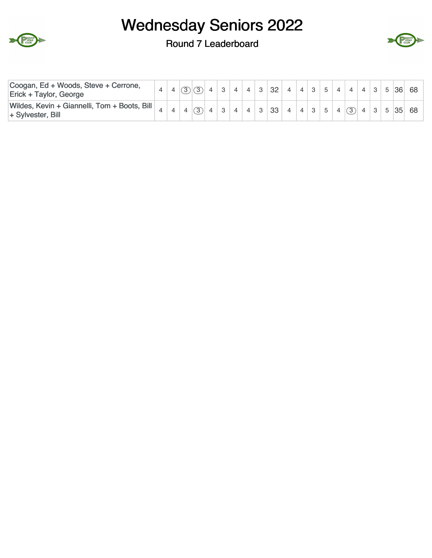



#### Round 7 Leaderboard

| Coogan, Ed + Woods, Steve + Cerrone,<br>Erick + Taylor, George    |  |                |  |  | $3$ 4 4 3 32 4 4 3 5 4 4 4 3 5 36 68 |  |  |  |  |  |                        |
|-------------------------------------------------------------------|--|----------------|--|--|--------------------------------------|--|--|--|--|--|------------------------|
| Wildes, Kevin + Giannelli, Tom + Boots, Bill<br>+ Sylvester, Bill |  | $\overline{B}$ |  |  | 3   4   4   3   33                   |  |  |  |  |  | 4 4 3 5 4 3 43 5 35 68 |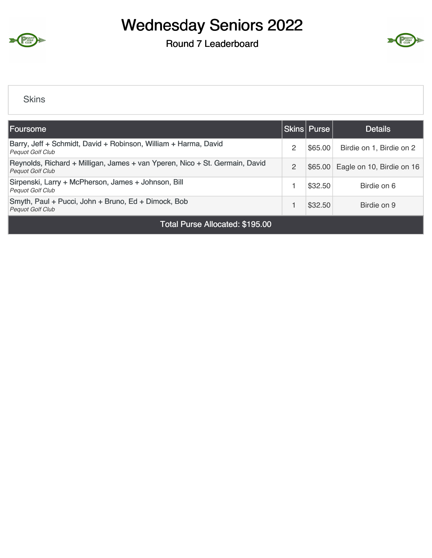

Round 7 Leaderboard



#### **Skins**

| Foursome                                                                                               |   | Skins   Purse | <b>Details</b>            |  |  |  |  |  |  |  |  |
|--------------------------------------------------------------------------------------------------------|---|---------------|---------------------------|--|--|--|--|--|--|--|--|
| Barry, Jeff + Schmidt, David + Robinson, William + Harma, David<br><b>Pequot Golf Club</b>             | 2 | \$65.00       | Birdie on 1, Birdie on 2  |  |  |  |  |  |  |  |  |
| Reynolds, Richard + Milligan, James + van Yperen, Nico + St. Germain, David<br><b>Pequot Golf Club</b> | 2 | \$65.00       | Eagle on 10, Birdie on 16 |  |  |  |  |  |  |  |  |
| Sirpenski, Larry + McPherson, James + Johnson, Bill<br><b>Pequot Golf Club</b>                         |   | \$32.50       | Birdie on 6               |  |  |  |  |  |  |  |  |
| Smyth, Paul + Pucci, John + Bruno, Ed + Dimock, Bob<br><b>Pequot Golf Club</b>                         |   | \$32.50       | Birdie on 9               |  |  |  |  |  |  |  |  |
| Total Purse Allocated: \$195.00                                                                        |   |               |                           |  |  |  |  |  |  |  |  |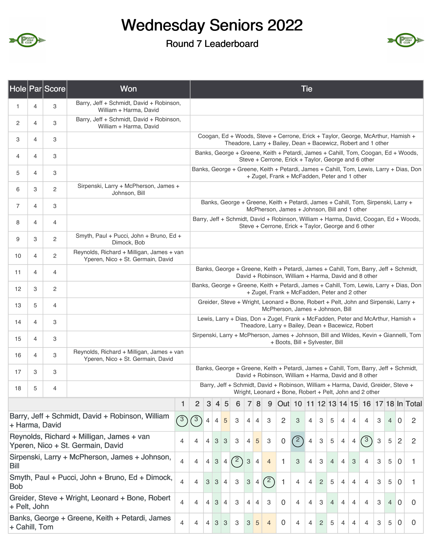

### Round 7 Leaderboard



|                                                                                        |   | Hole Par Score | Won                                                                                                                                   |                                                                                                                                              | <b>Tie</b>                                                                                                                |                                                                                                                                              |                     |                |                           |                           |                |                                                                                                                                                  |                                                                                                                                              |                |                |                |                |                |                |               |                           |                |                                                                                        |                                                                                        |
|----------------------------------------------------------------------------------------|---|----------------|---------------------------------------------------------------------------------------------------------------------------------------|----------------------------------------------------------------------------------------------------------------------------------------------|---------------------------------------------------------------------------------------------------------------------------|----------------------------------------------------------------------------------------------------------------------------------------------|---------------------|----------------|---------------------------|---------------------------|----------------|--------------------------------------------------------------------------------------------------------------------------------------------------|----------------------------------------------------------------------------------------------------------------------------------------------|----------------|----------------|----------------|----------------|----------------|----------------|---------------|---------------------------|----------------|----------------------------------------------------------------------------------------|----------------------------------------------------------------------------------------|
| 1                                                                                      | 4 | 3              | Barry, Jeff + Schmidt, David + Robinson,<br>William + Harma, David                                                                    |                                                                                                                                              |                                                                                                                           |                                                                                                                                              |                     |                |                           |                           |                |                                                                                                                                                  |                                                                                                                                              |                |                |                |                |                |                |               |                           |                |                                                                                        |                                                                                        |
| 2                                                                                      | 4 | 3              | Barry, Jeff + Schmidt, David + Robinson,<br>William + Harma, David                                                                    |                                                                                                                                              |                                                                                                                           |                                                                                                                                              |                     |                |                           |                           |                |                                                                                                                                                  |                                                                                                                                              |                |                |                |                |                |                |               |                           |                |                                                                                        |                                                                                        |
| 3                                                                                      | 4 | 3              |                                                                                                                                       |                                                                                                                                              |                                                                                                                           |                                                                                                                                              |                     |                |                           |                           |                | Coogan, Ed + Woods, Steve + Cerrone, Erick + Taylor, George, McArthur, Hamish +<br>Theadore, Larry + Bailey, Dean + Bacewicz, Robert and 1 other |                                                                                                                                              |                |                |                |                |                |                |               |                           |                |                                                                                        |                                                                                        |
| 4                                                                                      | 4 | 3              |                                                                                                                                       |                                                                                                                                              |                                                                                                                           |                                                                                                                                              |                     |                |                           |                           |                | Banks, George + Greene, Keith + Petardi, James + Cahill, Tom, Coogan, Ed + Woods,<br>Steve + Cerrone, Erick + Taylor, George and 6 other         |                                                                                                                                              |                |                |                |                |                |                |               |                           |                |                                                                                        |                                                                                        |
| 5                                                                                      | 4 | 3              |                                                                                                                                       |                                                                                                                                              |                                                                                                                           |                                                                                                                                              |                     |                |                           |                           |                |                                                                                                                                                  | + Zugel, Frank + McFadden, Peter and 1 other                                                                                                 |                |                |                |                |                |                |               |                           |                |                                                                                        | Banks, George + Greene, Keith + Petardi, James + Cahill, Tom, Lewis, Larry + Dias, Don |
| 6                                                                                      | 3 | 2              | Sirpenski, Larry + McPherson, James +<br>Johnson, Bill                                                                                |                                                                                                                                              |                                                                                                                           |                                                                                                                                              |                     |                |                           |                           |                |                                                                                                                                                  |                                                                                                                                              |                |                |                |                |                |                |               |                           |                |                                                                                        |                                                                                        |
| 7                                                                                      | 4 | 3              |                                                                                                                                       |                                                                                                                                              |                                                                                                                           |                                                                                                                                              |                     |                |                           |                           |                |                                                                                                                                                  | Banks, George + Greene, Keith + Petardi, James + Cahill, Tom, Sirpenski, Larry +<br>McPherson, James + Johnson, Bill and 1 other             |                |                |                |                |                |                |               |                           |                |                                                                                        |                                                                                        |
| 8                                                                                      | 4 | 4              |                                                                                                                                       | Barry, Jeff + Schmidt, David + Robinson, William + Harma, David, Coogan, Ed + Woods,<br>Steve + Cerrone, Erick + Taylor, George and 6 other  |                                                                                                                           |                                                                                                                                              |                     |                |                           |                           |                |                                                                                                                                                  |                                                                                                                                              |                |                |                |                |                |                |               |                           |                |                                                                                        |                                                                                        |
| 9                                                                                      | 3 | 2              | Smyth, Paul + Pucci, John + Bruno, Ed +<br>Dimock, Bob                                                                                |                                                                                                                                              |                                                                                                                           |                                                                                                                                              |                     |                |                           |                           |                |                                                                                                                                                  |                                                                                                                                              |                |                |                |                |                |                |               |                           |                |                                                                                        |                                                                                        |
| 10                                                                                     | 4 | 2              | Reynolds, Richard + Milligan, James + van<br>Yperen, Nico + St. Germain, David                                                        | Banks, George + Greene, Keith + Petardi, James + Cahill, Tom, Barry, Jeff + Schmidt,<br>David + Robinson, William + Harma, David and 8 other |                                                                                                                           |                                                                                                                                              |                     |                |                           |                           |                |                                                                                                                                                  |                                                                                                                                              |                |                |                |                |                |                |               |                           |                |                                                                                        |                                                                                        |
| 11                                                                                     | 4 | 4              |                                                                                                                                       |                                                                                                                                              |                                                                                                                           |                                                                                                                                              |                     |                |                           |                           |                |                                                                                                                                                  |                                                                                                                                              |                |                |                |                |                |                |               |                           |                |                                                                                        |                                                                                        |
| 12                                                                                     | 3 | $\overline{c}$ |                                                                                                                                       |                                                                                                                                              |                                                                                                                           |                                                                                                                                              |                     |                |                           |                           |                | + Zugel, Frank + McFadden, Peter and 2 other                                                                                                     |                                                                                                                                              |                |                |                |                |                |                |               |                           |                | Banks, George + Greene, Keith + Petardi, James + Cahill, Tom, Lewis, Larry + Dias, Don |                                                                                        |
| 13                                                                                     | 5 | 4              |                                                                                                                                       |                                                                                                                                              |                                                                                                                           |                                                                                                                                              |                     |                |                           |                           |                |                                                                                                                                                  | Greider, Steve + Wright, Leonard + Bone, Robert + Pelt, John and Sirpenski, Larry +<br>McPherson, James + Johnson, Bill                      |                |                |                |                |                |                |               |                           |                |                                                                                        |                                                                                        |
| 14                                                                                     | 4 | 3              | Lewis, Larry + Dias, Don + Zugel, Frank + McFadden, Peter and McArthur, Hamish +<br>Theadore, Larry + Bailey, Dean + Bacewicz, Robert |                                                                                                                                              |                                                                                                                           |                                                                                                                                              |                     |                |                           |                           |                |                                                                                                                                                  |                                                                                                                                              |                |                |                |                |                |                |               |                           |                |                                                                                        |                                                                                        |
| 15                                                                                     | 4 | 3              |                                                                                                                                       |                                                                                                                                              | Sirpenski, Larry + McPherson, James + Johnson, Bill and Wildes, Kevin + Giannelli, Tom<br>+ Boots, Bill + Sylvester, Bill |                                                                                                                                              |                     |                |                           |                           |                |                                                                                                                                                  |                                                                                                                                              |                |                |                |                |                |                |               |                           |                |                                                                                        |                                                                                        |
| 16                                                                                     | 4 | 3              | Reynolds, Richard + Milligan, James + van<br>Yperen, Nico + St. Germain, David                                                        |                                                                                                                                              |                                                                                                                           |                                                                                                                                              |                     |                |                           |                           |                |                                                                                                                                                  |                                                                                                                                              |                |                |                |                |                |                |               |                           |                |                                                                                        |                                                                                        |
| 17                                                                                     | 3 | 3              |                                                                                                                                       |                                                                                                                                              |                                                                                                                           | Banks, George + Greene, Keith + Petardi, James + Cahill, Tom, Barry, Jeff + Schmidt,<br>David + Robinson, William + Harma, David and 8 other |                     |                |                           |                           |                |                                                                                                                                                  |                                                                                                                                              |                |                |                |                |                |                |               |                           |                |                                                                                        |                                                                                        |
| 18                                                                                     | 5 | 4              |                                                                                                                                       |                                                                                                                                              |                                                                                                                           |                                                                                                                                              |                     |                |                           |                           |                |                                                                                                                                                  | Barry, Jeff + Schmidt, David + Robinson, William + Harma, David, Greider, Steve +<br>Wright, Leonard + Bone, Robert + Pelt, John and 2 other |                |                |                |                |                |                |               |                           |                |                                                                                        |                                                                                        |
|                                                                                        |   |                |                                                                                                                                       | 1                                                                                                                                            | $\overline{2}$                                                                                                            | $\mathbf{3}$                                                                                                                                 | $\vert 4 \vert$     | 5              | 6                         | $\overline{7}$            | 8              | 9                                                                                                                                                |                                                                                                                                              |                |                |                |                |                |                |               |                           |                |                                                                                        | Out 10 11 12 13 14 15 16 17 18 In Total                                                |
|                                                                                        |   | + Harma, David | Barry, Jeff + Schmidt, David + Robinson, William                                                                                      | $\sqrt{3}$                                                                                                                                   | $\sqrt{3}$                                                                                                                | $\overline{4}$                                                                                                                               | $\overline{4}$      | 5              | 3                         | 4                         | $\overline{4}$ | 3                                                                                                                                                | $\overline{2}$                                                                                                                               | 3              | $\overline{4}$ | 3              | 5              | 4              | $\overline{4}$ | 4             | 3                         | $\overline{4}$ | $\mathbf 0$                                                                            | $\overline{2}$                                                                         |
|                                                                                        |   |                | Reynolds, Richard + Milligan, James + van<br>Yperen, Nico + St. Germain, David                                                        | 4                                                                                                                                            | 4                                                                                                                         | $\overline{4}$                                                                                                                               | 3                   | 3              | 3                         | 4                         | $\overline{5}$ | 3                                                                                                                                                | 0                                                                                                                                            | (2)            | $\overline{4}$ | $\mathbf{3}$   | 5              | $\overline{4}$ | $\overline{4}$ | $\binom{3}{}$ | $\ensuremath{\mathsf{3}}$ | 5              | $\overline{c}$                                                                         | 2                                                                                      |
| Sirpenski, Larry + McPherson, James + Johnson,<br>$\overline{4}$<br><b>Bill</b>        |   |                |                                                                                                                                       |                                                                                                                                              |                                                                                                                           |                                                                                                                                              | $\mathbf{3}$        | $\overline{4}$ | (2)                       | $\ensuremath{\mathsf{3}}$ | $\overline{4}$ | $\overline{4}$                                                                                                                                   | 1                                                                                                                                            | $\mathbf{3}$   | $\overline{4}$ | 3              | $\overline{4}$ | 4              | 3              | 4             | 3                         | 5              | 0                                                                                      | 1                                                                                      |
| Smyth, Paul + Pucci, John + Bruno, Ed + Dimock,<br>4<br><b>Bob</b>                     |   |                |                                                                                                                                       |                                                                                                                                              |                                                                                                                           |                                                                                                                                              | 3 <sup>1</sup><br>3 | $\overline{4}$ | $\ensuremath{\mathsf{3}}$ | $\ensuremath{\mathsf{3}}$ | $\overline{4}$ | (2)                                                                                                                                              | 1                                                                                                                                            | $\overline{4}$ | 4              | $\mathbf{2}$   | 5              | 4              | 4              | 4             | 3                         | 5              | 0                                                                                      | 1                                                                                      |
| Greider, Steve + Wright, Leonard + Bone, Robert<br>4<br>+ Pelt, John                   |   |                |                                                                                                                                       |                                                                                                                                              |                                                                                                                           |                                                                                                                                              | 3                   | $\overline{4}$ | 3                         | 4                         | 4              | 3                                                                                                                                                | 0                                                                                                                                            | $\overline{4}$ | 4              | 3              | 4              | 4              | 4              | 4             | З                         | $\overline{4}$ | $\mathbf 0$                                                                            | 0                                                                                      |
| Banks, George + Greene, Keith + Petardi, James<br>$\overline{4}$<br>4<br>+ Cahill, Tom |   |                |                                                                                                                                       |                                                                                                                                              |                                                                                                                           |                                                                                                                                              |                     | 3              | 3                         | 3                         | 5              | $\overline{4}$                                                                                                                                   | $\mathbf 0$                                                                                                                                  | 4              | 4              | $\overline{c}$ | 5              | 4              | 4              | 4             | 3                         | 5              | 0                                                                                      | 0                                                                                      |